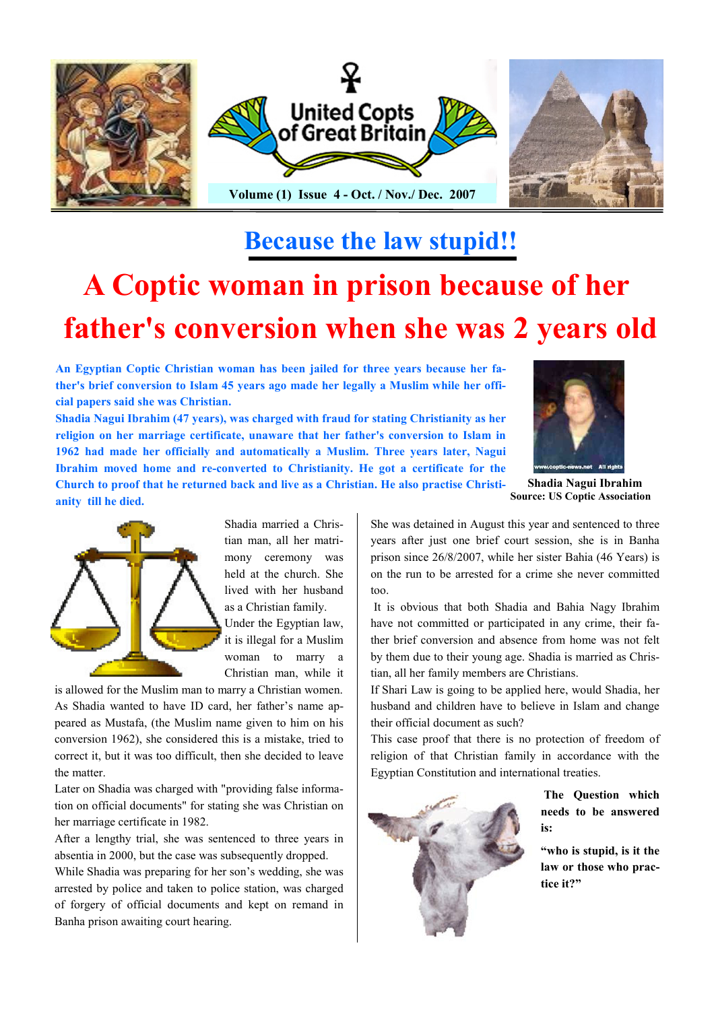

# Because the law stupid!!

# A Coptic woman in prison because of her father's conversion when she was 2 years old

An Egyptian Coptic Christian woman has been jailed for three years because her father's brief conversion to Islam 45 years ago made her legally a Muslim while her official papers said she was Christian.

Shadia Nagui Ibrahim (47 years), was charged with fraud for stating Christianity as her religion on her marriage certificate, unaware that her father's conversion to Islam in 1962 had made her officially and automatically a Muslim. Three years later, Nagui Ibrahim moved home and re-converted to Christianity. He got a certificate for the Church to proof that he returned back and live as a Christian. He also practise Christi-



Shadia Nagui Ibrahim Source: US Coptic Association



anity till he died.

Shadia married a Christian man, all her matrimony ceremony was held at the church. She lived with her husband as a Christian family. Under the Egyptian law,

it is illegal for a Muslim woman to marry a Christian man, while it

is allowed for the Muslim man to marry a Christian women. As Shadia wanted to have ID card, her father's name appeared as Mustafa, (the Muslim name given to him on his conversion 1962), she considered this is a mistake, tried to correct it, but it was too difficult, then she decided to leave the matter.

Later on Shadia was charged with "providing false information on official documents" for stating she was Christian on her marriage certificate in 1982.

After a lengthy trial, she was sentenced to three years in absentia in 2000, but the case was subsequently dropped.

While Shadia was preparing for her son's wedding, she was arrested by police and taken to police station, was charged of forgery of official documents and kept on remand in Banha prison awaiting court hearing.

She was detained in August this year and sentenced to three years after just one brief court session, she is in Banha prison since 26/8/2007, while her sister Bahia (46 Years) is on the run to be arrested for a crime she never committed too.

It is obvious that both Shadia and Bahia Nagy Ibrahim have not committed or participated in any crime, their father brief conversion and absence from home was not felt by them due to their young age. Shadia is married as Christian, all her family members are Christians.

If Shari Law is going to be applied here, would Shadia, her husband and children have to believe in Islam and change their official document as such?

This case proof that there is no protection of freedom of religion of that Christian family in accordance with the Egyptian Constitution and international treaties.



 The Question which needs to be answered is:

"who is stupid, is it the law or those who practice it?"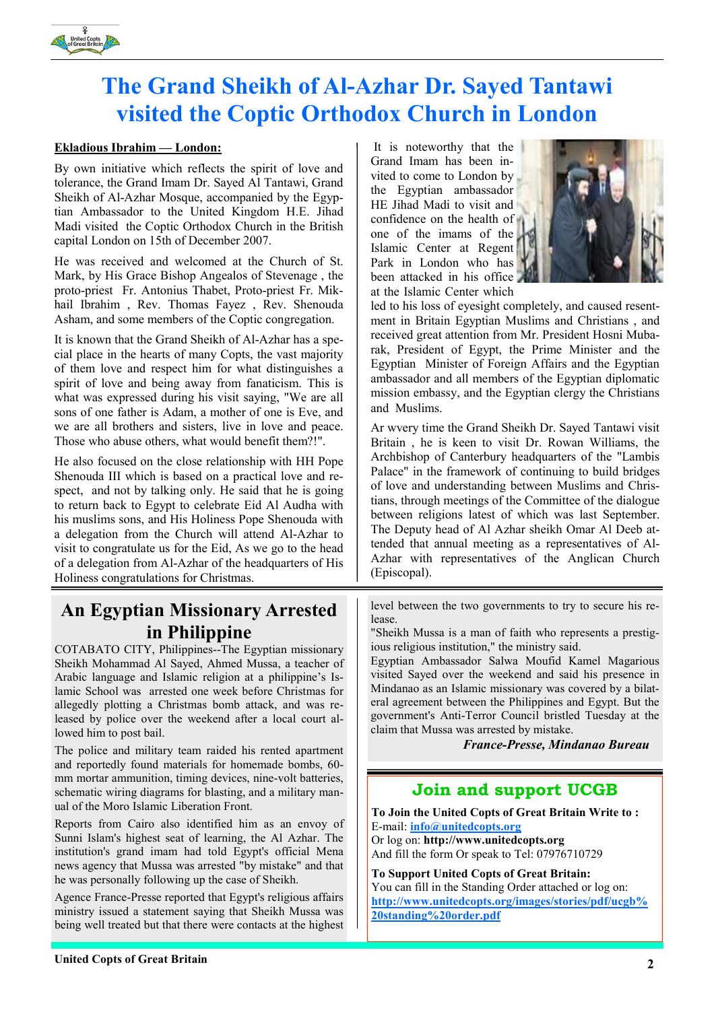

# The Grand Sheikh of Al-Azhar Dr. Sayed Tantawi visited the Coptic Orthodox Church in London

#### Ekladious Ibrahim — London:

By own initiative which reflects the spirit of love and tolerance, the Grand Imam Dr. Sayed Al Tantawi, Grand Sheikh of Al-Azhar Mosque, accompanied by the Egyptian Ambassador to the United Kingdom H.E. Jihad Madi visited the Coptic Orthodox Church in the British capital London on 15th of December 2007.

He was received and welcomed at the Church of St. Mark, by His Grace Bishop Angealos of Stevenage , the proto-priest Fr. Antonius Thabet, Proto-priest Fr. Mikhail Ibrahim , Rev. Thomas Fayez , Rev. Shenouda Asham, and some members of the Coptic congregation.

It is known that the Grand Sheikh of Al-Azhar has a special place in the hearts of many Copts, the vast majority of them love and respect him for what distinguishes a spirit of love and being away from fanaticism. This is what was expressed during his visit saying, "We are all sons of one father is Adam, a mother of one is Eve, and we are all brothers and sisters, live in love and peace. Those who abuse others, what would benefit them?!".

He also focused on the close relationship with HH Pope Shenouda III which is based on a practical love and respect, and not by talking only. He said that he is going to return back to Egypt to celebrate Eid Al Audha with his muslims sons, and His Holiness Pope Shenouda with a delegation from the Church will attend Al-Azhar to visit to congratulate us for the Eid, As we go to the head of a delegation from Al-Azhar of the headquarters of His Holiness congratulations for Christmas.

## An Egyptian Missionary Arrested in Philippine

COTABATO CITY, Philippines--The Egyptian missionary Sheikh Mohammad Al Sayed, Ahmed Mussa, a teacher of Arabic language and Islamic religion at a philippine's Islamic School was arrested one week before Christmas for allegedly plotting a Christmas bomb attack, and was released by police over the weekend after a local court allowed him to post bail.

The police and military team raided his rented apartment and reportedly found materials for homemade bombs, 60 mm mortar ammunition, timing devices, nine-volt batteries, schematic wiring diagrams for blasting, and a military manual of the Moro Islamic Liberation Front.

Reports from Cairo also identified him as an envoy of Sunni Islam's highest seat of learning, the Al Azhar. The institution's grand imam had told Egypt's official Mena news agency that Mussa was arrested "by mistake" and that he was personally following up the case of Sheikh.

Agence France-Presse reported that Egypt's religious affairs ministry issued a statement saying that Sheikh Mussa was being well treated but that there were contacts at the highest

 It is noteworthy that the Grand Imam has been invited to come to London by the Egyptian ambassador HE Jihad Madi to visit and confidence on the health of one of the imams of the Islamic Center at Regent Park in London who has been attacked in his office at the Islamic Center which



led to his loss of eyesight completely, and caused resentment in Britain Egyptian Muslims and Christians , and received great attention from Mr. President Hosni Mubarak, President of Egypt, the Prime Minister and the Egyptian Minister of Foreign Affairs and the Egyptian ambassador and all members of the Egyptian diplomatic mission embassy, and the Egyptian clergy the Christians and Muslims.

Ar wvery time the Grand Sheikh Dr. Sayed Tantawi visit Britain , he is keen to visit Dr. Rowan Williams, the Archbishop of Canterbury headquarters of the "Lambis Palace" in the framework of continuing to build bridges of love and understanding between Muslims and Christians, through meetings of the Committee of the dialogue between religions latest of which was last September. The Deputy head of Al Azhar sheikh Omar Al Deeb attended that annual meeting as a representatives of Al-Azhar with representatives of the Anglican Church (Episcopal).

level between the two governments to try to secure his release.

"Sheikh Mussa is a man of faith who represents a prestigious religious institution," the ministry said.

Egyptian Ambassador Salwa Moufid Kamel Magarious visited Sayed over the weekend and said his presence in Mindanao as an Islamic missionary was covered by a bilateral agreement between the Philippines and Egypt. But the government's Anti-Terror Council bristled Tuesday at the claim that Mussa was arrested by mistake.

France-Presse, Mindanao Bureau

#### Join and support UCGB

To Join the United Copts of Great Britain Write to : E-mail: info@unitedcopts.org Or log on: http://www.unitedcopts.org And fill the form Or speak to Tel: 07976710729

To Support United Copts of Great Britain: You can fill in the Standing Order attached or log on: http://www.unitedcopts.org/images/stories/pdf/ucgb% 20standing%20order.pdf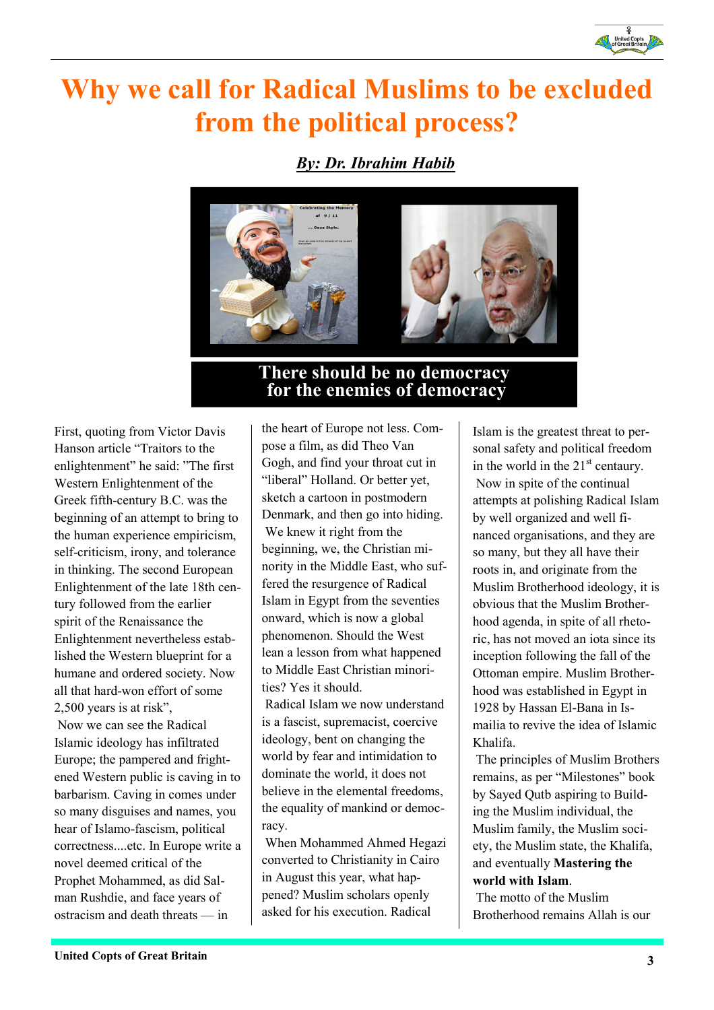

# Why we call for Radical Muslims to be excluded from the political process?

By: Dr. Ibrahim Habib



### There should be no democracy for the enemies of democracy

First, quoting from Victor Davis Hanson article "Traitors to the enlightenment" he said: "The first Western Enlightenment of the Greek fifth-century B.C. was the beginning of an attempt to bring to the human experience empiricism, self-criticism, irony, and tolerance in thinking. The second European Enlightenment of the late 18th century followed from the earlier spirit of the Renaissance the Enlightenment nevertheless established the Western blueprint for a humane and ordered society. Now all that hard-won effort of some 2,500 years is at risk", Now we can see the Radical Islamic ideology has infiltrated Europe; the pampered and frightened Western public is caving in to barbarism. Caving in comes under so many disguises and names, you hear of Islamo-fascism, political correctness....etc. In Europe write a novel deemed critical of the Prophet Mohammed, as did Salman Rushdie, and face years of ostracism and death threats — in

the heart of Europe not less. Compose a film, as did Theo Van Gogh, and find your throat cut in "liberal" Holland. Or better yet, sketch a cartoon in postmodern Denmark, and then go into hiding. We knew it right from the beginning, we, the Christian minority in the Middle East, who suffered the resurgence of Radical Islam in Egypt from the seventies onward, which is now a global phenomenon. Should the West lean a lesson from what happened to Middle East Christian minorities? Yes it should.

 Radical Islam we now understand is a fascist, supremacist, coercive ideology, bent on changing the world by fear and intimidation to dominate the world, it does not believe in the elemental freedoms, the equality of mankind or democracy.

 When Mohammed Ahmed Hegazi converted to Christianity in Cairo in August this year, what happened? Muslim scholars openly asked for his execution. Radical

Islam is the greatest threat to personal safety and political freedom in the world in the  $21<sup>st</sup>$  centaury. Now in spite of the continual attempts at polishing Radical Islam by well organized and well financed organisations, and they are so many, but they all have their roots in, and originate from the Muslim Brotherhood ideology, it is obvious that the Muslim Brotherhood agenda, in spite of all rhetoric, has not moved an iota since its inception following the fall of the Ottoman empire. Muslim Brotherhood was established in Egypt in 1928 by Hassan El-Bana in Ismailia to revive the idea of Islamic Khalifa.

 The principles of Muslim Brothers remains, as per "Milestones" book by Sayed Qutb aspiring to Building the Muslim individual, the Muslim family, the Muslim society, the Muslim state, the Khalifa, and eventually Mastering the world with Islam.

 The motto of the Muslim Brotherhood remains Allah is our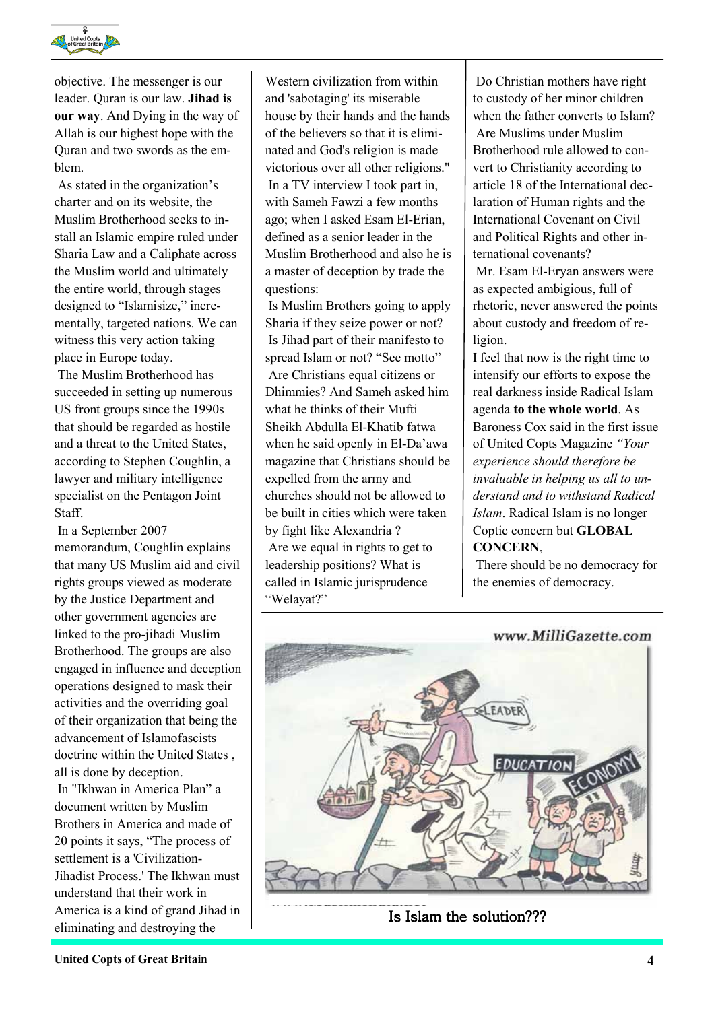

objective. The messenger is our leader. Quran is our law. Jihad is our way. And Dying in the way of Allah is our highest hope with the Quran and two swords as the emblem.

 As stated in the organization's charter and on its website, the Muslim Brotherhood seeks to install an Islamic empire ruled under Sharia Law and a Caliphate across the Muslim world and ultimately the entire world, through stages designed to "Islamisize," incrementally, targeted nations. We can witness this very action taking place in Europe today.

 The Muslim Brotherhood has succeeded in setting up numerous US front groups since the 1990s that should be regarded as hostile and a threat to the United States, according to Stephen Coughlin, a lawyer and military intelligence specialist on the Pentagon Joint Staff.

 In a September 2007 memorandum, Coughlin explains that many US Muslim aid and civil rights groups viewed as moderate by the Justice Department and other government agencies are linked to the pro-jihadi Muslim Brotherhood. The groups are also engaged in influence and deception operations designed to mask their activities and the overriding goal of their organization that being the advancement of Islamofascists doctrine within the United States , all is done by deception.

 In "Ikhwan in America Plan" a document written by Muslim Brothers in America and made of 20 points it says, "The process of settlement is a 'Civilization-Jihadist Process.' The Ikhwan must understand that their work in America is a kind of grand Jihad in eliminating and destroying the

Western civilization from within and 'sabotaging' its miserable house by their hands and the hands of the believers so that it is eliminated and God's religion is made victorious over all other religions." In a TV interview I took part in, with Sameh Fawzi a few months ago; when I asked Esam El-Erian, defined as a senior leader in the Muslim Brotherhood and also he is a master of deception by trade the questions:

 Is Muslim Brothers going to apply Sharia if they seize power or not? Is Jihad part of their manifesto to spread Islam or not? "See motto" Are Christians equal citizens or Dhimmies? And Sameh asked him what he thinks of their Mufti Sheikh Abdulla El-Khatib fatwa when he said openly in El-Da'awa magazine that Christians should be expelled from the army and churches should not be allowed to be built in cities which were taken by fight like Alexandria ? Are we equal in rights to get to leadership positions? What is called in Islamic jurisprudence "Welayat?"

 Do Christian mothers have right to custody of her minor children when the father converts to Islam? Are Muslims under Muslim Brotherhood rule allowed to convert to Christianity according to article 18 of the International declaration of Human rights and the International Covenant on Civil and Political Rights and other international covenants?

 Mr. Esam El-Eryan answers were as expected ambigious, full of rhetoric, never answered the points about custody and freedom of religion.

I feel that now is the right time to intensify our efforts to expose the real darkness inside Radical Islam agenda to the whole world. As Baroness Cox said in the first issue of United Copts Magazine "Your experience should therefore be invaluable in helping us all to understand and to withstand Radical Islam. Radical Islam is no longer Coptic concern but GLOBAL CONCERN,

 There should be no democracy for the enemies of democracy.



Is Islam the solution???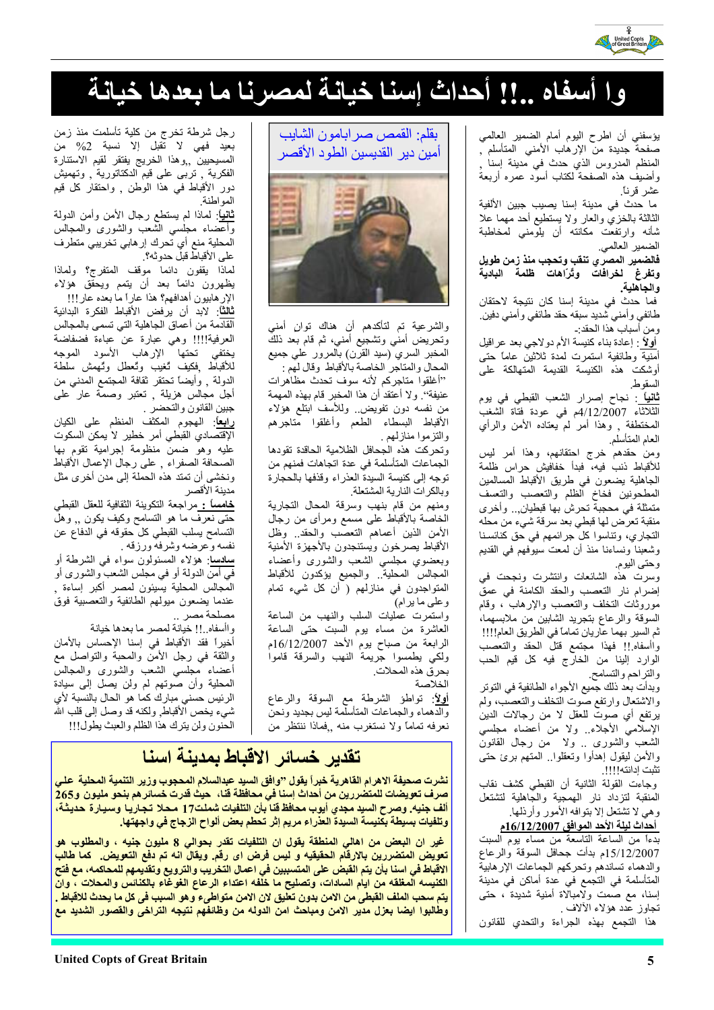

# وا أسفاه ..!! أحداث إسنا خيانة لمصرنا ما بعدها خيانة

يؤسفني أن اطرح اليوم أمام الضمير العالمي صفحة جديدة من الإرهاب الأمني المتأسلم , المنظم المدروس الذي حدث في مدينة إسنا وأضيف هذه الصفحة لكناب أسود عمره أربعة عشر قرناً.

ما حدث في مدينة إسنا يصيب جبين الألفية الثالثة بالخزي والعار ولا يستطيع أحد مهما علا شأنه وارتفعت مكانته أن يلومنى لمخاطبة الضمير العالمي.

فالضمير المصري تنقب وتحجب منذ زمن طويل وتفرغ لخرافات وتُرَاهات ظلمة البادية والجاهلية.

فما حدث في مدينة إسنا كان نتيجة لاحتقان طائفي وأمنى شديد سبقه حقد طائفي وأمنى دفين ومن أسباب هذا الحقد:۔

أولاً : إعادة بناء كنيسة الأم دولاجي بعد عراقيل أمنية وطائفية استمرت لمدة ثلاثين عاماً حتى أوشكت هذه الكنيسة القديمة المتهالكة على السقو ط

<mark>ثانياً</mark> : نجاح إصرار الشعب القبطي في يوم الثلاثاء 4/12/2007م في عودة فتاة الشغب المختطفة ¸ وهذا أمر لم يعتاده الأمن والرأي العام المتأسلم

ومن حقدهم خرج احتقانهم، وهذا أمر ليس للأقباط ذنب فيه، فبدأ خفافيش حراس ظلمة الجاهلية يضعون في طريق الأقباط المسالمين المطحونين فخاخ الظلم والتعصب والتعسف متمثلة في محجبة تحرش بها قبطيان,.. وأخرى منقبة تعرَّض لها قبطي بعد سرقة شيء من محله التجاري، وتناسوا كل جرائمهم في حق كنائسنا وشعبنا ونساءنا منذ أن لمعت سيوفهم فى القديم وحتى اليوم

وسرت هذه الشائعات وانتشرت ونجحت في إضرام نار التعصب والحقد الكامنة في عمق موروثات التخلف والتعصب والإرهاب ، وقام السوقة والرعاع بتجريد الشابين من ملابسهما، ثم السير بهما عاريان تماماً في الطريق العام!!!! واأسفاه إإ فهذا مجتمع قتل الحقد والتعصب الوارد إلينا من الخارج فيه كل قيم الحب والتراحم والتسامح

وبدأت بعد ذلك جميع الأجواء الطائفية في التوتر والاشتعال وارتفع صوت التخلف والتعصب، ولم يرتفع أي صوتّ للعقل لا من رجالات الدين الإسلاميّ الأجلاء ولا من أعضاء مجلسي الشعب والشوري .. ولا ً من رجال القانون والأمن ليقول إهدأوا ونعقلوا المنهم برئ حنى تثبت إدانته!!!!!

وجاءت القولة الثانية أن القبطي كشف نقاب المنقبة لتزداد نار الهمجية والجاهلية لتشتعل وهي لا تشتعل إلا بتوافه الأمور وأرذلها.

أحداث ليلة الأحد المو<u>افق 16/12/2007م</u> بدءاً من الساعة التاسعة من مساء يوم السبت 15/12/2007م بدأت جحافل السوقة والرعاع والدهماء تساندهم وتحركهم الجماعات الإرهابية المتأسلمة في التجمع في عدة أماكن في مدينة إسنا، مع صمت ولامبالاة أمنية شديدة ً، حتى تجاوز عدد هؤلاء الآلاف ِ

هذا التجمع بهذه الجراءة والتحدي للقانون

بقلم: القمص صر ابامون الشايب أمبن دبر القدبسبن الطو د الأقصر



والشرعية تم لتأكدهم أن هناك توانٍ أمنمِ وتحريض أمنى وتشجيع أمنى، ثم قام بعد ذلك المخبر السري (سيد القرن) بالمرور على جميع المحال والمتاجر الخاصة بالأقباط وقال لهم :

"أغلقوا متاجركم لأنه سوف تحدث مظاهرات عنيفة''. ولا أعتقد أن هذا المخبر قام بهذه المهمة من نفسه دون تفويض وللأسف ابتلع هؤلاء الأقباط البسطاء الطعم وأغلقوا متاجرهم والتزموا منازلهم .

وتحركت هذه الجحافل الظلامية الحاقدة تقودها الجماعات المتأسلمة في عدة اتجاهات فمنهم من نوجه إلى كنبسة السبدة العذراء وقذفها بالحجارة وبالكرات النارية المشتعلة

ومنهم من قام بنهب وسرقة المحال التجارية الخاصة بالأقباط على مسمع ومرأى من رجال الأمن الذين أعماهم التعصُّب والحقد وظل الأقباط يصرخون ويستنجدون بالأجهزة الأمنية وبعضوي مجلسي الشعب والشورى وأعضاء المجالس المحلية والجميع يؤكدون للأقباط المتواجدون في منازلهم ( أن كل شيء تمام وعلى ما يرام)

واستمرت عمليات السلب والنهب من الساعة العاشرة من مساء يوم السبت حتى الساعة الرابعة من صباح يوم الأحد 16/12/2007م ولكي يطمسوا جريمة النهب والسرقة قاموا بحرق هذه المحلات.

الخلاصة

<mark>أولاً</mark>: تواطؤ الشرطة مع السوقة والرعاع والدهماء والجماعات المتأسلمة ليس بجديد ونحن نعرفه تماماً ولا نستغرب منه , فماذا ننتظر من

رجل شرطة تخرج من كلية تأسلمت منذ زمن بعيد فهي لا تقبل إلا نسبة 2% من المسيحيين ¸¸وهذا الخريج يفتقر لقيم الاستنارة الفكرية ¸ تربى على قيم الدكتاتورية ¸ وتهميش دور الأقباط في هذا الوطن ¸ واحتقار كل قيم المو اطنة

<mark>ثانيا</mark>: لماذا لم يستطع رجال الأمن وأمن الدولة وأعضاء مجلسي الشعب والشورى والمجالس المحلية منع أي تحرك إرهابي تخريبي متطرف على الأقباط قبل حدوثه؟

لماذا يقفون دائما موقف المتفرج؟ ولماذا يظهرون دائماً بعد أن يتمم ويحقق هؤلاء الإر هابيون أهدافهم؟ هذا عاراً ما بعده عار !!!

**ثالثًا**: لابد أن يرفض الأقباط الفكرة البدائية القادمة من أعماق الجاهلية التي تسمى بالمجالس العرفية!!!! وهي عبارة عن عباءة فضفاضة يختفى تحتها الإرهاب الأسود الموجه للأقباط فكيف تنغيب وتعطل وتهمش سلطة الدولة ¸ وأيضاً تحتقر ثقافة المجتمع المدنى من أجل مجالس هزيلة ¸ تعتبر وصمة عار على جبين القانون والتحضر

رابعاً: الهجوم المكثف المنظم على الكيان الإقتصادي القبطى أمر خطير لا يمكن السكوت عليه وهو ضمن منظومة إجرامية تقوم بها الصحافة الصفراء , على رجال الإعمال الأقباط ونخشى أن تمتد هذه الحملة إلى مدن أخرى مثل مدينة الأقصر

<mark>خامساً :</mark> مراجعة التكوينة الثقافية للعقل القبطي حتـي نـعرف مـا هو التسامح وكيف يكون ,, وهل التسامح يسلب القبطي كل حقوقه في الدفاع عن نفسه وعرضه وشرفه ورزقه .

<mark>سلاسا</mark>: هؤلاء المسئولون سواء في الشرطة أو في أمن الدولة أو في مجلس الشعب والشورى أو المجالس المحلية يسيئون لمصر أكبر إساءة ¸ عندما بضعون مبولهم الطائفية والتعصبية فوق مصلحة مصر .

واأسفاه إإ خيانة لمصر ما بعدها خيانة

أخيراً فقد الأقباط في إسنا الإحساس بالأمان والثقة في رجل الأمن والمحبة والنواصل مع أعضاء مجلسى الشعب والشورى والمجالس المحلية وأن صوتهم لم ولن يصل إلى سيادة الرئيس حسنى مبارك كما هو الحال بالنسبة لأي شيء يخص الأقباط ولكنه قد وصل إلى قلب الله الحنون ولن يترك هذا الظلم والعبث يطول!!!

## تقدير خسائر الاقباط بمدينة اسنا

نشرت صحيفة الاهرام القاهرية خبراً يقول "وافق السيد عبدالسلام المحجوب وزير التنمية المحلية علـي صرف تعويضات للمتضررين من أحداث إسنا في محافظة قنا، حيث قدرت خسائر هم بنحو مليون و265 ألف جنيه. وصرح السيد مجدي أيوب محافظ فنا بأن التلفيات شملت17 محلا تجاريا وسيارة حديثـة، وتلفيات بسيطة بكنيسة السيدة العذراء مريم إثر تحطم بعض ألواح الزجاج في واجهتها.

غير ان البعض من اهالي المنطقة يقول ان التلفيات تقدر بحوالي 8 مليون جنيه ، والمطلوب هو تعويض المتضررين بالارقام الحقيقيه و ليس فرض اى رقم. ويقال انه تم دفع التعويض. كما طالب الاقباط في اسنا بأن يتم القبض على المتسببين في اعمال التخريب والترويع وتقديمهم للمحاكمه، مع فتح الكنيسه المغلقه من ايام السادات، وتصليح ما خلّفه اعتداء الرعاع الغوغاء بالكنانس والمحلات ، وانّ يتم سحب الملف القبطي من الامن بدون تطيق لان الامن متواطيء و هو السبب في كل ما يحدث للاقباط . | وطالبوا ايضا بعزل مدير الامن ومباحث امن الدوله من وظائفهم نتيجه التراخى والقصور الشديد مع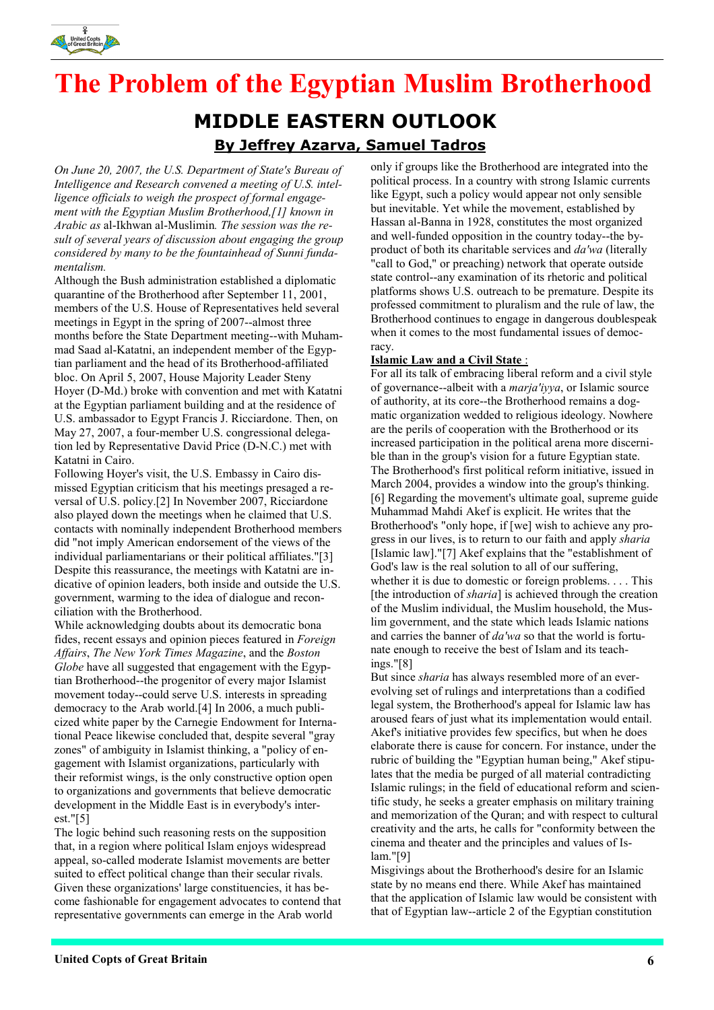

# The Problem of the Egyptian Muslim Brotherhood MIDDLE EASTERN OUTLOOK By Jeffrey Azarva, Samuel Tadros

On June 20, 2007, the U.S. Department of State's Bureau of Intelligence and Research convened a meeting of U.S. intelligence officials to weigh the prospect of formal engagement with the Egyptian Muslim Brotherhood,[1] known in Arabic as al-Ikhwan al-Muslimin. The session was the result of several years of discussion about engaging the group considered by many to be the fountainhead of Sunni fundamentalism.

Although the Bush administration established a diplomatic quarantine of the Brotherhood after September 11, 2001, members of the U.S. House of Representatives held several meetings in Egypt in the spring of 2007--almost three months before the State Department meeting--with Muhammad Saad al-Katatni, an independent member of the Egyptian parliament and the head of its Brotherhood-affiliated bloc. On April 5, 2007, House Majority Leader Steny Hoyer (D-Md.) broke with convention and met with Katatni at the Egyptian parliament building and at the residence of U.S. ambassador to Egypt Francis J. Ricciardone. Then, on May 27, 2007, a four-member U.S. congressional delegation led by Representative David Price (D-N.C.) met with Katatni in Cairo.

Following Hoyer's visit, the U.S. Embassy in Cairo dismissed Egyptian criticism that his meetings presaged a reversal of U.S. policy.[2] In November 2007, Ricciardone also played down the meetings when he claimed that U.S. contacts with nominally independent Brotherhood members did "not imply American endorsement of the views of the individual parliamentarians or their political affiliates."[3] Despite this reassurance, the meetings with Katatni are indicative of opinion leaders, both inside and outside the U.S. government, warming to the idea of dialogue and reconciliation with the Brotherhood.

While acknowledging doubts about its democratic bona fides, recent essays and opinion pieces featured in Foreign Affairs, The New York Times Magazine, and the Boston Globe have all suggested that engagement with the Egyptian Brotherhood--the progenitor of every major Islamist movement today--could serve U.S. interests in spreading democracy to the Arab world.[4] In 2006, a much publicized white paper by the Carnegie Endowment for International Peace likewise concluded that, despite several "gray zones" of ambiguity in Islamist thinking, a "policy of engagement with Islamist organizations, particularly with their reformist wings, is the only constructive option open to organizations and governments that believe democratic development in the Middle East is in everybody's interest." $[5]$ 

The logic behind such reasoning rests on the supposition that, in a region where political Islam enjoys widespread appeal, so-called moderate Islamist movements are better suited to effect political change than their secular rivals. Given these organizations' large constituencies, it has become fashionable for engagement advocates to contend that representative governments can emerge in the Arab world

only if groups like the Brotherhood are integrated into the political process. In a country with strong Islamic currents like Egypt, such a policy would appear not only sensible but inevitable. Yet while the movement, established by Hassan al-Banna in 1928, constitutes the most organized and well-funded opposition in the country today--the byproduct of both its charitable services and da'wa (literally "call to God," or preaching) network that operate outside state control--any examination of its rhetoric and political platforms shows U.S. outreach to be premature. Despite its professed commitment to pluralism and the rule of law, the Brotherhood continues to engage in dangerous doublespeak when it comes to the most fundamental issues of democracy.

#### Islamic Law and a Civil State :

For all its talk of embracing liberal reform and a civil style of governance--albeit with a marja'iyya, or Islamic source of authority, at its core--the Brotherhood remains a dogmatic organization wedded to religious ideology. Nowhere are the perils of cooperation with the Brotherhood or its increased participation in the political arena more discernible than in the group's vision for a future Egyptian state. The Brotherhood's first political reform initiative, issued in March 2004, provides a window into the group's thinking. [6] Regarding the movement's ultimate goal, supreme guide Muhammad Mahdi Akef is explicit. He writes that the Brotherhood's "only hope, if [we] wish to achieve any progress in our lives, is to return to our faith and apply sharia [Islamic law]."[7] Akef explains that the "establishment of God's law is the real solution to all of our suffering, whether it is due to domestic or foreign problems. . . . This [the introduction of *sharia*] is achieved through the creation of the Muslim individual, the Muslim household, the Muslim government, and the state which leads Islamic nations and carries the banner of da'wa so that the world is fortunate enough to receive the best of Islam and its teachings."[8]

But since sharia has always resembled more of an everevolving set of rulings and interpretations than a codified legal system, the Brotherhood's appeal for Islamic law has aroused fears of just what its implementation would entail. Akef's initiative provides few specifics, but when he does elaborate there is cause for concern. For instance, under the rubric of building the "Egyptian human being," Akef stipulates that the media be purged of all material contradicting Islamic rulings; in the field of educational reform and scientific study, he seeks a greater emphasis on military training and memorization of the Quran; and with respect to cultural creativity and the arts, he calls for "conformity between the cinema and theater and the principles and values of Islam."[9]

Misgivings about the Brotherhood's desire for an Islamic state by no means end there. While Akef has maintained that the application of Islamic law would be consistent with that of Egyptian law--article 2 of the Egyptian constitution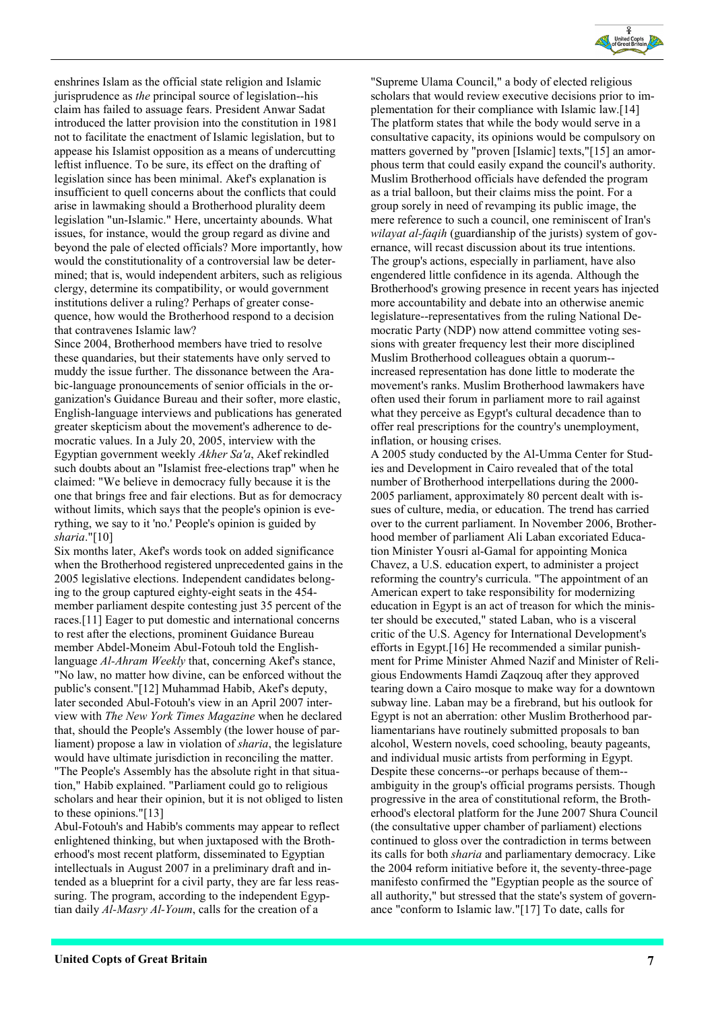

enshrines Islam as the official state religion and Islamic jurisprudence as the principal source of legislation--his claim has failed to assuage fears. President Anwar Sadat introduced the latter provision into the constitution in 1981 not to facilitate the enactment of Islamic legislation, but to appease his Islamist opposition as a means of undercutting leftist influence. To be sure, its effect on the drafting of legislation since has been minimal. Akef's explanation is insufficient to quell concerns about the conflicts that could arise in lawmaking should a Brotherhood plurality deem legislation "un-Islamic." Here, uncertainty abounds. What issues, for instance, would the group regard as divine and beyond the pale of elected officials? More importantly, how would the constitutionality of a controversial law be determined; that is, would independent arbiters, such as religious clergy, determine its compatibility, or would government institutions deliver a ruling? Perhaps of greater consequence, how would the Brotherhood respond to a decision that contravenes Islamic law?

Since 2004, Brotherhood members have tried to resolve these quandaries, but their statements have only served to muddy the issue further. The dissonance between the Arabic-language pronouncements of senior officials in the organization's Guidance Bureau and their softer, more elastic, English-language interviews and publications has generated greater skepticism about the movement's adherence to democratic values. In a July 20, 2005, interview with the Egyptian government weekly Akher Sa'a, Akef rekindled such doubts about an "Islamist free-elections trap" when he claimed: "We believe in democracy fully because it is the one that brings free and fair elections. But as for democracy without limits, which says that the people's opinion is everything, we say to it 'no.' People's opinion is guided by sharia."[10]

Six months later, Akef's words took on added significance when the Brotherhood registered unprecedented gains in the 2005 legislative elections. Independent candidates belonging to the group captured eighty-eight seats in the 454 member parliament despite contesting just 35 percent of the races.[11] Eager to put domestic and international concerns to rest after the elections, prominent Guidance Bureau member Abdel-Moneim Abul-Fotouh told the Englishlanguage Al-Ahram Weekly that, concerning Akef's stance, "No law, no matter how divine, can be enforced without the public's consent."[12] Muhammad Habib, Akef's deputy, later seconded Abul-Fotouh's view in an April 2007 interview with The New York Times Magazine when he declared that, should the People's Assembly (the lower house of parliament) propose a law in violation of *sharia*, the legislature would have ultimate jurisdiction in reconciling the matter. "The People's Assembly has the absolute right in that situation," Habib explained. "Parliament could go to religious scholars and hear their opinion, but it is not obliged to listen to these opinions."[13]

Abul-Fotouh's and Habib's comments may appear to reflect enlightened thinking, but when juxtaposed with the Brotherhood's most recent platform, disseminated to Egyptian intellectuals in August 2007 in a preliminary draft and intended as a blueprint for a civil party, they are far less reassuring. The program, according to the independent Egyptian daily Al-Masry Al-Youm, calls for the creation of a

"Supreme Ulama Council," a body of elected religious scholars that would review executive decisions prior to implementation for their compliance with Islamic law.[14] The platform states that while the body would serve in a consultative capacity, its opinions would be compulsory on matters governed by "proven [Islamic] texts,"[15] an amorphous term that could easily expand the council's authority. Muslim Brotherhood officials have defended the program as a trial balloon, but their claims miss the point. For a group sorely in need of revamping its public image, the mere reference to such a council, one reminiscent of Iran's wilayat al-faqih (guardianship of the jurists) system of governance, will recast discussion about its true intentions. The group's actions, especially in parliament, have also engendered little confidence in its agenda. Although the Brotherhood's growing presence in recent years has injected more accountability and debate into an otherwise anemic legislature--representatives from the ruling National Democratic Party (NDP) now attend committee voting sessions with greater frequency lest their more disciplined Muslim Brotherhood colleagues obtain a quorum- increased representation has done little to moderate the movement's ranks. Muslim Brotherhood lawmakers have often used their forum in parliament more to rail against what they perceive as Egypt's cultural decadence than to offer real prescriptions for the country's unemployment, inflation, or housing crises.

A 2005 study conducted by the Al-Umma Center for Studies and Development in Cairo revealed that of the total number of Brotherhood interpellations during the 2000- 2005 parliament, approximately 80 percent dealt with issues of culture, media, or education. The trend has carried over to the current parliament. In November 2006, Brotherhood member of parliament Ali Laban excoriated Education Minister Yousri al-Gamal for appointing Monica Chavez, a U.S. education expert, to administer a project reforming the country's curricula. "The appointment of an American expert to take responsibility for modernizing education in Egypt is an act of treason for which the minister should be executed," stated Laban, who is a visceral critic of the U.S. Agency for International Development's efforts in Egypt.[16] He recommended a similar punishment for Prime Minister Ahmed Nazif and Minister of Religious Endowments Hamdi Zaqzouq after they approved tearing down a Cairo mosque to make way for a downtown subway line. Laban may be a firebrand, but his outlook for Egypt is not an aberration: other Muslim Brotherhood parliamentarians have routinely submitted proposals to ban alcohol, Western novels, coed schooling, beauty pageants, and individual music artists from performing in Egypt. Despite these concerns--or perhaps because of them- ambiguity in the group's official programs persists. Though progressive in the area of constitutional reform, the Brotherhood's electoral platform for the June 2007 Shura Council (the consultative upper chamber of parliament) elections continued to gloss over the contradiction in terms between its calls for both sharia and parliamentary democracy. Like the 2004 reform initiative before it, the seventy-three-page manifesto confirmed the "Egyptian people as the source of all authority," but stressed that the state's system of governance "conform to Islamic law."[17] To date, calls for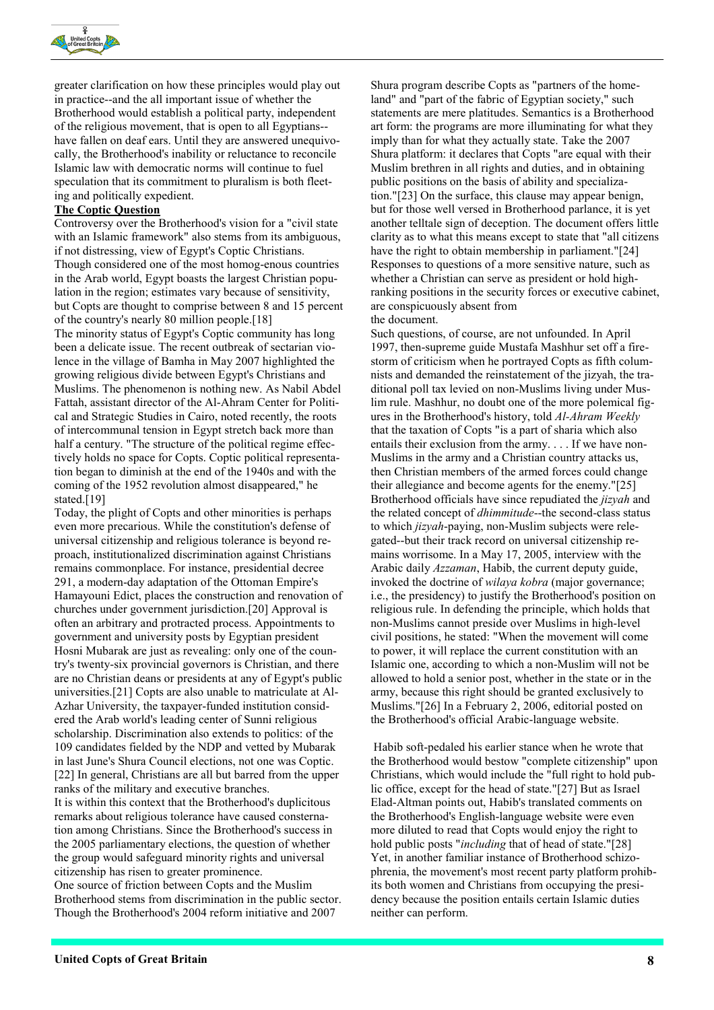

greater clarification on how these principles would play out in practice--and the all important issue of whether the Brotherhood would establish a political party, independent of the religious movement, that is open to all Egyptians- have fallen on deaf ears. Until they are answered unequivocally, the Brotherhood's inability or reluctance to reconcile Islamic law with democratic norms will continue to fuel speculation that its commitment to pluralism is both fleeting and politically expedient.

#### The Coptic Question

Controversy over the Brotherhood's vision for a "civil state with an Islamic framework" also stems from its ambiguous, if not distressing, view of Egypt's Coptic Christians. Though considered one of the most homog-enous countries in the Arab world, Egypt boasts the largest Christian population in the region; estimates vary because of sensitivity, but Copts are thought to comprise between 8 and 15 percent of the country's nearly 80 million people.[18] The minority status of Egypt's Coptic community has long been a delicate issue. The recent outbreak of sectarian violence in the village of Bamha in May 2007 highlighted the growing religious divide between Egypt's Christians and Muslims. The phenomenon is nothing new. As Nabil Abdel Fattah, assistant director of the Al-Ahram Center for Political and Strategic Studies in Cairo, noted recently, the roots of intercommunal tension in Egypt stretch back more than half a century. "The structure of the political regime effectively holds no space for Copts. Coptic political representation began to diminish at the end of the 1940s and with the coming of the 1952 revolution almost disappeared," he stated.<sup>[19]</sup>

Today, the plight of Copts and other minorities is perhaps even more precarious. While the constitution's defense of universal citizenship and religious tolerance is beyond reproach, institutionalized discrimination against Christians remains commonplace. For instance, presidential decree 291, a modern-day adaptation of the Ottoman Empire's Hamayouni Edict, places the construction and renovation of churches under government jurisdiction.[20] Approval is often an arbitrary and protracted process. Appointments to government and university posts by Egyptian president Hosni Mubarak are just as revealing: only one of the country's twenty-six provincial governors is Christian, and there are no Christian deans or presidents at any of Egypt's public universities.[21] Copts are also unable to matriculate at Al-Azhar University, the taxpayer-funded institution considered the Arab world's leading center of Sunni religious scholarship. Discrimination also extends to politics: of the 109 candidates fielded by the NDP and vetted by Mubarak in last June's Shura Council elections, not one was Coptic. [22] In general, Christians are all but barred from the upper ranks of the military and executive branches. It is within this context that the Brotherhood's duplicitous remarks about religious tolerance have caused consternation among Christians. Since the Brotherhood's success in

the 2005 parliamentary elections, the question of whether the group would safeguard minority rights and universal citizenship has risen to greater prominence. One source of friction between Copts and the Muslim

Brotherhood stems from discrimination in the public sector. Though the Brotherhood's 2004 reform initiative and 2007

Shura program describe Copts as "partners of the homeland" and "part of the fabric of Egyptian society," such statements are mere platitudes. Semantics is a Brotherhood art form: the programs are more illuminating for what they imply than for what they actually state. Take the 2007 Shura platform: it declares that Copts "are equal with their Muslim brethren in all rights and duties, and in obtaining public positions on the basis of ability and specialization."[23] On the surface, this clause may appear benign, but for those well versed in Brotherhood parlance, it is yet another telltale sign of deception. The document offers little clarity as to what this means except to state that "all citizens have the right to obtain membership in parliament."[24] Responses to questions of a more sensitive nature, such as whether a Christian can serve as president or hold highranking positions in the security forces or executive cabinet, are conspicuously absent from the document.

Such questions, of course, are not unfounded. In April 1997, then-supreme guide Mustafa Mashhur set off a firestorm of criticism when he portrayed Copts as fifth columnists and demanded the reinstatement of the jizyah, the traditional poll tax levied on non-Muslims living under Muslim rule. Mashhur, no doubt one of the more polemical figures in the Brotherhood's history, told Al-Ahram Weekly that the taxation of Copts "is a part of sharia which also entails their exclusion from the army. . . . If we have non-Muslims in the army and a Christian country attacks us, then Christian members of the armed forces could change their allegiance and become agents for the enemy."[25] Brotherhood officials have since repudiated the *jizyah* and the related concept of *dhimmitude*--the second-class status to which *jizyah*-paying, non-Muslim subjects were relegated--but their track record on universal citizenship remains worrisome. In a May 17, 2005, interview with the Arabic daily Azzaman, Habib, the current deputy guide, invoked the doctrine of wilaya kobra (major governance; i.e., the presidency) to justify the Brotherhood's position on religious rule. In defending the principle, which holds that non-Muslims cannot preside over Muslims in high-level civil positions, he stated: "When the movement will come to power, it will replace the current constitution with an Islamic one, according to which a non-Muslim will not be allowed to hold a senior post, whether in the state or in the army, because this right should be granted exclusively to Muslims."[26] In a February 2, 2006, editorial posted on the Brotherhood's official Arabic-language website.

 Habib soft-pedaled his earlier stance when he wrote that the Brotherhood would bestow "complete citizenship" upon Christians, which would include the "full right to hold public office, except for the head of state."[27] But as Israel Elad-Altman points out, Habib's translated comments on the Brotherhood's English-language website were even more diluted to read that Copts would enjoy the right to hold public posts "*including* that of head of state."[28] Yet, in another familiar instance of Brotherhood schizophrenia, the movement's most recent party platform prohibits both women and Christians from occupying the presidency because the position entails certain Islamic duties neither can perform.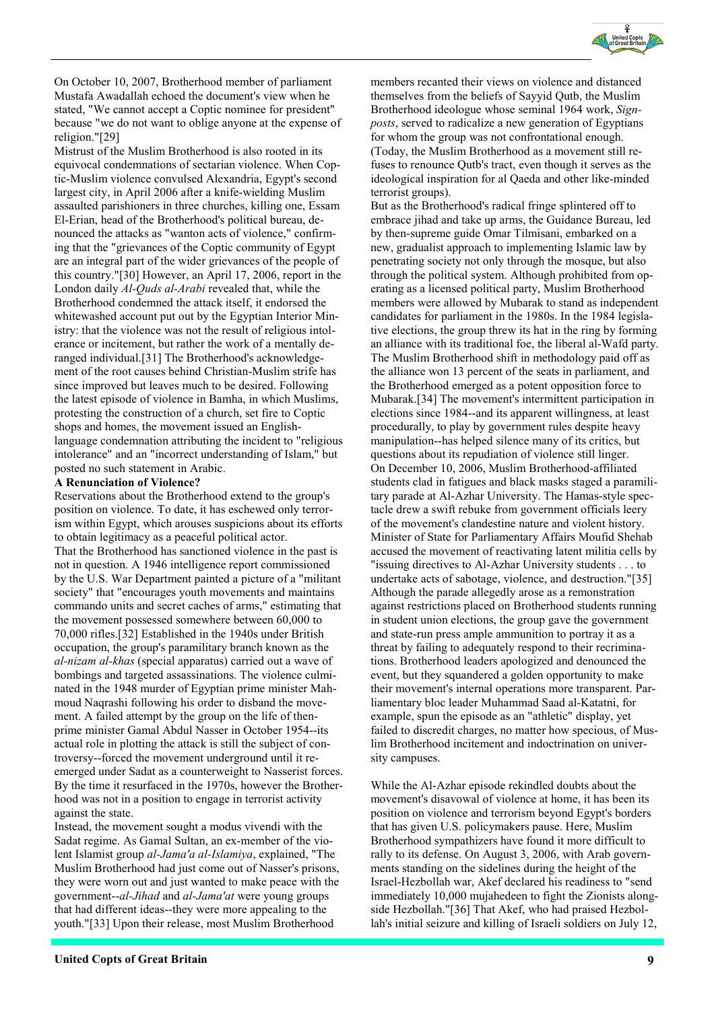

On October 10, 2007, Brotherhood member of parliament Mustafa Awadallah echoed the document's view when he stated, "We cannot accept a Coptic nominee for president" because "we do not want to oblige anyone at the expense of religion."[29]

Mistrust of the Muslim Brotherhood is also rooted in its equivocal condemnations of sectarian violence. When Coptic-Muslim violence convulsed Alexandria, Egypt's second largest city, in April 2006 after a knife-wielding Muslim assaulted parishioners in three churches, killing one, Essam El-Erian, head of the Brotherhood's political bureau, denounced the attacks as "wanton acts of violence," confirming that the "grievances of the Coptic community of Egypt are an integral part of the wider grievances of the people of this country."[30] However, an April 17, 2006, report in the London daily Al-Quds al-Arabi revealed that, while the Brotherhood condemned the attack itself, it endorsed the whitewashed account put out by the Egyptian Interior Ministry: that the violence was not the result of religious intolerance or incitement, but rather the work of a mentally deranged individual.[31] The Brotherhood's acknowledgement of the root causes behind Christian-Muslim strife has since improved but leaves much to be desired. Following the latest episode of violence in Bamha, in which Muslims, protesting the construction of a church, set fire to Coptic shops and homes, the movement issued an Englishlanguage condemnation attributing the incident to "religious intolerance" and an "incorrect understanding of Islam," but posted no such statement in Arabic.

#### A Renunciation of Violence?

Reservations about the Brotherhood extend to the group's position on violence. To date, it has eschewed only terrorism within Egypt, which arouses suspicions about its efforts to obtain legitimacy as a peaceful political actor. That the Brotherhood has sanctioned violence in the past is not in question. A 1946 intelligence report commissioned by the U.S. War Department painted a picture of a "militant society" that "encourages youth movements and maintains commando units and secret caches of arms," estimating that the movement possessed somewhere between 60,000 to 70,000 rifles.[32] Established in the 1940s under British occupation, the group's paramilitary branch known as the al-nizam al-khas (special apparatus) carried out a wave of bombings and targeted assassinations. The violence culminated in the 1948 murder of Egyptian prime minister Mahmoud Naqrashi following his order to disband the movement. A failed attempt by the group on the life of thenprime minister Gamal Abdul Nasser in October 1954--its actual role in plotting the attack is still the subject of controversy--forced the movement underground until it reemerged under Sadat as a counterweight to Nasserist forces. By the time it resurfaced in the 1970s, however the Brotherhood was not in a position to engage in terrorist activity against the state.

Instead, the movement sought a modus vivendi with the Sadat regime. As Gamal Sultan, an ex-member of the violent Islamist group al-Jama'a al-Islamiya, explained, "The Muslim Brotherhood had just come out of Nasser's prisons, they were worn out and just wanted to make peace with the government--al-Jihad and al-Jama'at were young groups that had different ideas--they were more appealing to the youth."[33] Upon their release, most Muslim Brotherhood

members recanted their views on violence and distanced themselves from the beliefs of Sayyid Qutb, the Muslim Brotherhood ideologue whose seminal 1964 work, Signposts, served to radicalize a new generation of Egyptians for whom the group was not confrontational enough. (Today, the Muslim Brotherhood as a movement still refuses to renounce Qutb's tract, even though it serves as the ideological inspiration for al Qaeda and other like-minded terrorist groups).

But as the Brotherhood's radical fringe splintered off to embrace jihad and take up arms, the Guidance Bureau, led by then-supreme guide Omar Tilmisani, embarked on a new, gradualist approach to implementing Islamic law by penetrating society not only through the mosque, but also through the political system. Although prohibited from operating as a licensed political party, Muslim Brotherhood members were allowed by Mubarak to stand as independent candidates for parliament in the 1980s. In the 1984 legislative elections, the group threw its hat in the ring by forming an alliance with its traditional foe, the liberal al-Wafd party. The Muslim Brotherhood shift in methodology paid off as the alliance won 13 percent of the seats in parliament, and the Brotherhood emerged as a potent opposition force to Mubarak.[34] The movement's intermittent participation in elections since 1984--and its apparent willingness, at least procedurally, to play by government rules despite heavy manipulation--has helped silence many of its critics, but questions about its repudiation of violence still linger. On December 10, 2006, Muslim Brotherhood-affiliated students clad in fatigues and black masks staged a paramilitary parade at Al-Azhar University. The Hamas-style spectacle drew a swift rebuke from government officials leery of the movement's clandestine nature and violent history. Minister of State for Parliamentary Affairs Moufid Shehab accused the movement of reactivating latent militia cells by "issuing directives to Al-Azhar University students . . . to undertake acts of sabotage, violence, and destruction."[35] Although the parade allegedly arose as a remonstration against restrictions placed on Brotherhood students running in student union elections, the group gave the government and state-run press ample ammunition to portray it as a threat by failing to adequately respond to their recriminations. Brotherhood leaders apologized and denounced the event, but they squandered a golden opportunity to make their movement's internal operations more transparent. Parliamentary bloc leader Muhammad Saad al-Katatni, for example, spun the episode as an "athletic" display, yet failed to discredit charges, no matter how specious, of Muslim Brotherhood incitement and indoctrination on university campuses.

While the Al-Azhar episode rekindled doubts about the movement's disavowal of violence at home, it has been its position on violence and terrorism beyond Egypt's borders that has given U.S. policymakers pause. Here, Muslim Brotherhood sympathizers have found it more difficult to rally to its defense. On August 3, 2006, with Arab governments standing on the sidelines during the height of the Israel-Hezbollah war, Akef declared his readiness to "send immediately 10,000 mujahedeen to fight the Zionists alongside Hezbollah."[36] That Akef, who had praised Hezbollah's initial seizure and killing of Israeli soldiers on July 12,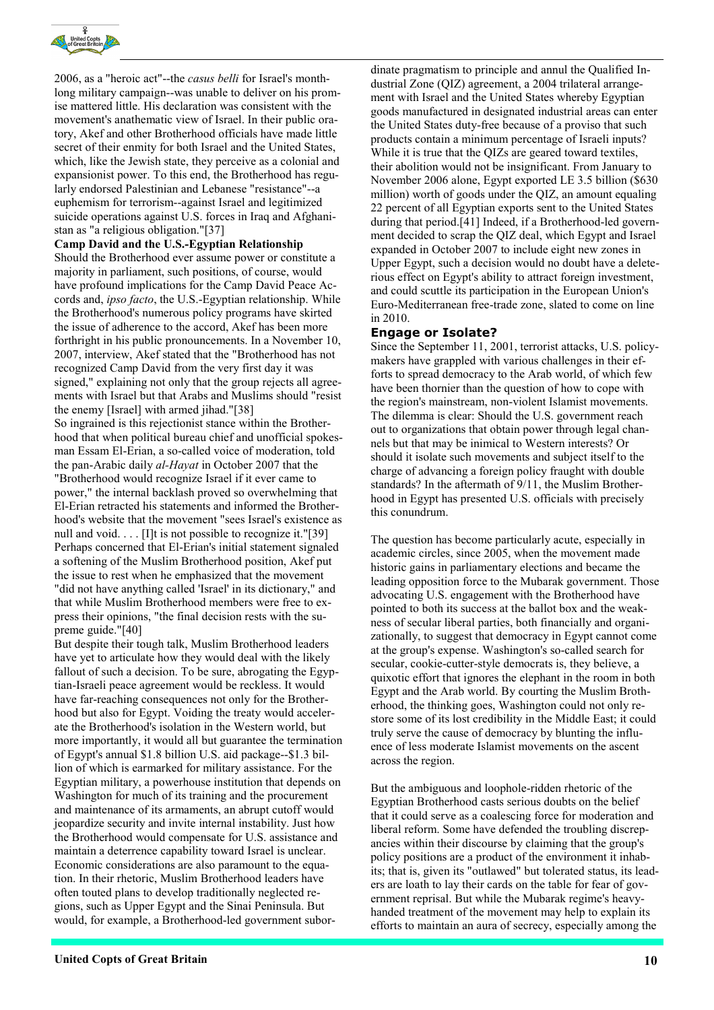

2006, as a "heroic act"--the casus belli for Israel's monthlong military campaign--was unable to deliver on his promise mattered little. His declaration was consistent with the movement's anathematic view of Israel. In their public oratory, Akef and other Brotherhood officials have made little secret of their enmity for both Israel and the United States, which, like the Jewish state, they perceive as a colonial and expansionist power. To this end, the Brotherhood has regularly endorsed Palestinian and Lebanese "resistance"--a euphemism for terrorism--against Israel and legitimized suicide operations against U.S. forces in Iraq and Afghanistan as "a religious obligation."[37]

#### Camp David and the U.S.-Egyptian Relationship

Should the Brotherhood ever assume power or constitute a majority in parliament, such positions, of course, would have profound implications for the Camp David Peace Accords and, *ipso facto*, the U.S.-Egyptian relationship. While the Brotherhood's numerous policy programs have skirted the issue of adherence to the accord, Akef has been more forthright in his public pronouncements. In a November 10, 2007, interview, Akef stated that the "Brotherhood has not recognized Camp David from the very first day it was signed," explaining not only that the group rejects all agreements with Israel but that Arabs and Muslims should "resist the enemy [Israel] with armed jihad."[38]

So ingrained is this rejectionist stance within the Brotherhood that when political bureau chief and unofficial spokesman Essam El-Erian, a so-called voice of moderation, told the pan-Arabic daily *al-Hayat* in October 2007 that the "Brotherhood would recognize Israel if it ever came to power," the internal backlash proved so overwhelming that El-Erian retracted his statements and informed the Brotherhood's website that the movement "sees Israel's existence as null and void. . . . [I]t is not possible to recognize it."[39] Perhaps concerned that El-Erian's initial statement signaled a softening of the Muslim Brotherhood position, Akef put the issue to rest when he emphasized that the movement "did not have anything called 'Israel' in its dictionary," and that while Muslim Brotherhood members were free to express their opinions, "the final decision rests with the supreme guide."[40]

But despite their tough talk, Muslim Brotherhood leaders have yet to articulate how they would deal with the likely fallout of such a decision. To be sure, abrogating the Egyptian-Israeli peace agreement would be reckless. It would have far-reaching consequences not only for the Brotherhood but also for Egypt. Voiding the treaty would accelerate the Brotherhood's isolation in the Western world, but more importantly, it would all but guarantee the termination of Egypt's annual \$1.8 billion U.S. aid package--\$1.3 billion of which is earmarked for military assistance. For the Egyptian military, a powerhouse institution that depends on Washington for much of its training and the procurement and maintenance of its armaments, an abrupt cutoff would jeopardize security and invite internal instability. Just how the Brotherhood would compensate for U.S. assistance and maintain a deterrence capability toward Israel is unclear. Economic considerations are also paramount to the equation. In their rhetoric, Muslim Brotherhood leaders have often touted plans to develop traditionally neglected regions, such as Upper Egypt and the Sinai Peninsula. But would, for example, a Brotherhood-led government subordinate pragmatism to principle and annul the Qualified Industrial Zone (QIZ) agreement, a 2004 trilateral arrangement with Israel and the United States whereby Egyptian goods manufactured in designated industrial areas can enter the United States duty-free because of a proviso that such products contain a minimum percentage of Israeli inputs? While it is true that the QIZs are geared toward textiles, their abolition would not be insignificant. From January to November 2006 alone, Egypt exported LE 3.5 billion (\$630 million) worth of goods under the QIZ, an amount equaling 22 percent of all Egyptian exports sent to the United States during that period.[41] Indeed, if a Brotherhood-led government decided to scrap the QIZ deal, which Egypt and Israel expanded in October 2007 to include eight new zones in Upper Egypt, such a decision would no doubt have a deleterious effect on Egypt's ability to attract foreign investment, and could scuttle its participation in the European Union's Euro-Mediterranean free-trade zone, slated to come on line in 2010.

#### Engage or Isolate?

Since the September 11, 2001, terrorist attacks, U.S. policymakers have grappled with various challenges in their efforts to spread democracy to the Arab world, of which few have been thornier than the question of how to cope with the region's mainstream, non-violent Islamist movements. The dilemma is clear: Should the U.S. government reach out to organizations that obtain power through legal channels but that may be inimical to Western interests? Or should it isolate such movements and subject itself to the charge of advancing a foreign policy fraught with double standards? In the aftermath of 9/11, the Muslim Brotherhood in Egypt has presented U.S. officials with precisely this conundrum.

The question has become particularly acute, especially in academic circles, since 2005, when the movement made historic gains in parliamentary elections and became the leading opposition force to the Mubarak government. Those advocating U.S. engagement with the Brotherhood have pointed to both its success at the ballot box and the weakness of secular liberal parties, both financially and organizationally, to suggest that democracy in Egypt cannot come at the group's expense. Washington's so-called search for secular, cookie-cutter-style democrats is, they believe, a quixotic effort that ignores the elephant in the room in both Egypt and the Arab world. By courting the Muslim Brotherhood, the thinking goes, Washington could not only restore some of its lost credibility in the Middle East; it could truly serve the cause of democracy by blunting the influence of less moderate Islamist movements on the ascent across the region.

But the ambiguous and loophole-ridden rhetoric of the Egyptian Brotherhood casts serious doubts on the belief that it could serve as a coalescing force for moderation and liberal reform. Some have defended the troubling discrepancies within their discourse by claiming that the group's policy positions are a product of the environment it inhabits; that is, given its "outlawed" but tolerated status, its leaders are loath to lay their cards on the table for fear of government reprisal. But while the Mubarak regime's heavyhanded treatment of the movement may help to explain its efforts to maintain an aura of secrecy, especially among the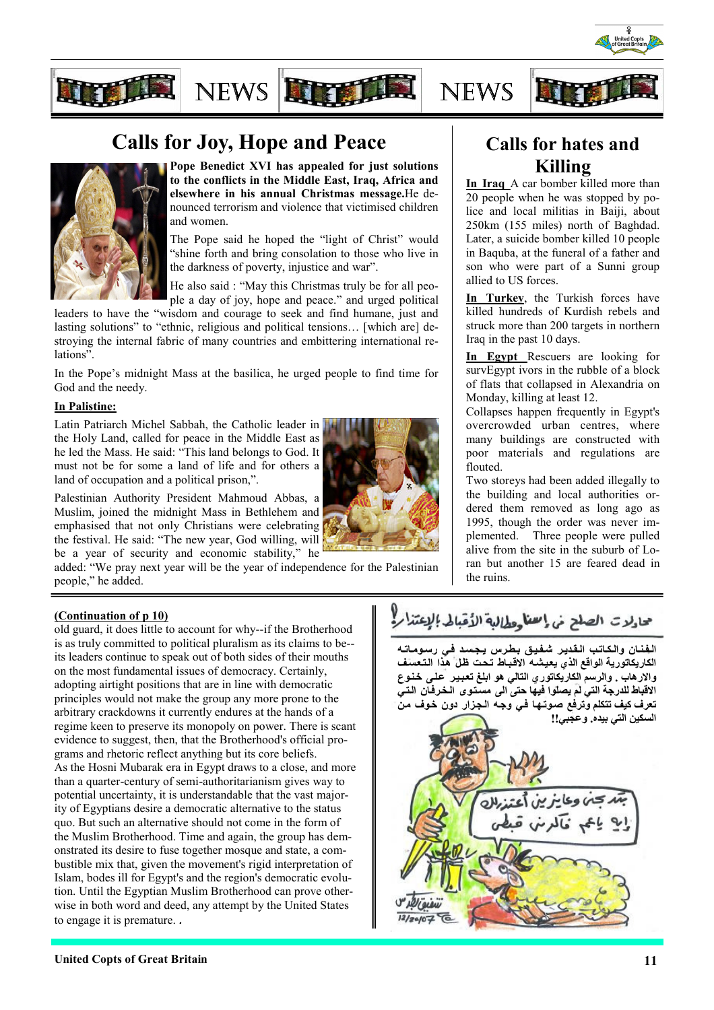





Pope Benedict XVI has appealed for just solutions to the conflicts in the Middle East, Iraq, Africa and elsewhere in his annual Christmas message.He denounced terrorism and violence that victimised children and women.

NEWS FOR THE NEWS

The Pope said he hoped the "light of Christ" would "shine forth and bring consolation to those who live in the darkness of poverty, injustice and war".

He also said : "May this Christmas truly be for all people a day of joy, hope and peace." and urged political

leaders to have the "wisdom and courage to seek and find humane, just and lasting solutions" to "ethnic, religious and political tensions… [which are] destroying the internal fabric of many countries and embittering international relations".

In the Pope's midnight Mass at the basilica, he urged people to find time for God and the needy.

#### In Palistine:

Latin Patriarch Michel Sabbah, the Catholic leader in the Holy Land, called for peace in the Middle East as he led the Mass. He said: "This land belongs to God. It must not be for some a land of life and for others a land of occupation and a political prison,".

Palestinian Authority President Mahmoud Abbas, a Muslim, joined the midnight Mass in Bethlehem and emphasised that not only Christians were celebrating the festival. He said: "The new year, God willing, will be a year of security and economic stability," he



added: "We pray next year will be the year of independence for the Palestinian people," he added.

## Calls for hates and Killing

In Iraq A car bomber killed more than 20 people when he was stopped by police and local militias in Baiji, about 250km (155 miles) north of Baghdad. Later, a suicide bomber killed 10 people in Baquba, at the funeral of a father and son who were part of a Sunni group allied to US forces.

In Turkey, the Turkish forces have killed hundreds of Kurdish rebels and struck more than 200 targets in northern Iraq in the past 10 days.

In Egypt Rescuers are looking for survEgypt ivors in the rubble of a block of flats that collapsed in Alexandria on Monday, killing at least 12.

Collapses happen frequently in Egypt's overcrowded urban centres, where many buildings are constructed with poor materials and regulations are flouted.

Two storeys had been added illegally to the building and local authorities ordered them removed as long ago as 1995, though the order was never implemented. Three people were pulled alive from the site in the suburb of Loran but another 15 are feared dead in the ruins.

#### (Continuation of p 10)

old guard, it does little to account for why--if the Brotherhood is as truly committed to political pluralism as its claims to be- its leaders continue to speak out of both sides of their mouths on the most fundamental issues of democracy. Certainly, adopting airtight positions that are in line with democratic principles would not make the group any more prone to the arbitrary crackdowns it currently endures at the hands of a regime keen to preserve its monopoly on power. There is scant evidence to suggest, then, that the Brotherhood's official programs and rhetoric reflect anything but its core beliefs. As the Hosni Mubarak era in Egypt draws to a close, and more than a quarter-century of semi-authoritarianism gives way to potential uncertainty, it is understandable that the vast majority of Egyptians desire a democratic alternative to the status quo. But such an alternative should not come in the form of the Muslim Brotherhood. Time and again, the group has demonstrated its desire to fuse together mosque and state, a combustible mix that, given the movement's rigid interpretation of Islam, bodes ill for Egypt's and the region's democratic evolution. Until the Egyptian Muslim Brotherhood can prove otherwise in both word and deed, any attempt by the United States to engage it is premature. .

## حادلات الصلح خى إسمنا وطالبة الأقبالى الإعتذار!

الفنان والكاتب القدير شفيق بطرس يجسد في رسوماته الكاريكاتورية الواقع الذي يعيشـه الاقبـاط تـحت ظلّ هذا الـتـعسف والارهاب . والرسم الكاريكاتوري التالي هو ابلغ تعبير كلمى خنوع الاقباط للدرجة التي لم يصلوا فيها حتى الى مستوى الخرفان التي تعرف كيف تتكلم وترفع صوتها في وجه الجزار دون خوف من السكين التي بيده. وعجبي!!